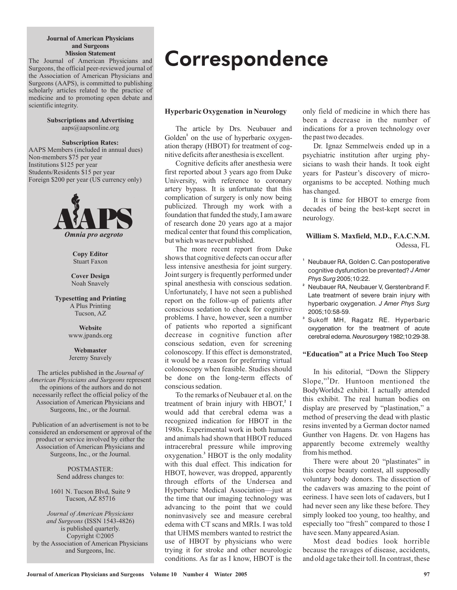#### **Journal of American Physicians and Surgeons Mission Statement**

The Journal of American Physicians and Surgeons, the official peer-reviewed journal of the Association of American Physicians and Surgeons (AAPS), is committed to publishing scholarly articles related to the practice of medicine and to promoting open debate and scientific integrity.

> **Subscriptions and Advertising** aaps@aapsonline.org

**Subscription Rates:** AAPS Members (included in annual dues) Non-members \$75 per year Institutions \$125 per year Students/Residents \$15 per year Foreign \$200 per year (US currency only)



**Copy Editor** Stuart Faxon

**Cover Design** Noah Snavely

**Typesetting and Printing** A Plus Printing Tucson, AZ

> www.jpands.org **Website**

**Webmaster** Jeremy Snavely

Surgeons, Inc., or the Journal. The articles published in the *Journal of American Physicians and Surgeons* **represent** the opinions of the authors and do not necessarily reflect the official policy of the Association of American Physicians and

Surgeons, Inc., or the Journal. Publication of an advertisement is not to be considered an endorsement or approval of the product or service involved by either the Association of American Physicians and

> POSTMASTER: Send address changes to:

1601 N. Tucson Blvd, Suite 9 Tucson, AZ 85716

(ISSN 1543-4826) *and Surgeons* is published quarterly. Copyright ©2005 by the Association of American Physicians and Surgeons, Inc. *Journal of American Physicians*

## **Correspondence**

#### **Hyperbaric Oxygenation in Neurology**

The article by Drs. Neubauer and Golden<sup>1</sup> on the use of hyperbaric oxygenation therapy (HBOT) for treatment of cognitive deficits after anesthesia is excellent.

Cognitive deficits after anesthesia were first reported about 3 years ago from Duke University, with reference to coronary artery bypass. It is unfortunate that this complication of surgery is only now being publicized. Through my work with a foundation that funded the study, I am aware of research done 20 years ago at a major medical center that found this complication, but which was never published.

The more recent report from Duke shows that cognitive defects can occur after less intensive anesthesia for joint surgery. Joint surgery is frequently performed under spinal anesthesia with conscious sedation. Unfortunately, I have not seen a published report on the follow-up of patients after conscious sedation to check for cognitive problems. I have, however, seen a number of patients who reported a significant decrease in cognitive function after conscious sedation, even for screening colonoscopy. If this effect is demonstrated, it would be a reason for preferring virtual colonoscopy when feasible. Studies should be done on the long-term effects of conscious sedation.

To the remarks of Neubauer et al. on the treatment of brain injury with HBOT,<sup>2</sup> I would add that cerebral edema was a recognized indication for HBOT in the 1980s. Experimental work in both humans and animals had shown that HBOT reduced intracerebral pressure while improving oxygenation.<sup>3</sup> HBOT is the only modality with this dual effect. This indication for HBOT, however, was dropped, apparently through efforts of the Undersea and Hyperbaric Medical Association—just at the time that our imaging technology was advancing to the point that we could noninvasively see and measure cerebral edema with CT scans and MRIs. I was told that UHMS members wanted to restrict the use of HBOT by physicians who were trying it for stroke and other neurologic conditions. As far as I know, HBOT is the

only field of medicine in which there has been a decrease in the number of indications for a proven technology over the past two decades.

Dr. Ignaz Semmelweis ended up in a psychiatric institution after urging physicians to wash their hands. It took eight years for Pasteur's discovery of microorganisms to be accepted. Nothing much has changed.

It is time for HBOT to emerge from decades of being the best-kept secret in neurology.

#### Odessa, FL **William S. Maxfield, M.D., F.A.C.N.M.**

- **1** Neubauer RA, Golden C. Can postoperative cognitive dysfunction be prevented? *J Amer* 2005;10:22. *Phys Surg*
- **2** Neubauer RA, Neubauer V, Gerstenbrand F. Late treatment of severe brain injury with hyperbaric oxygenation. *J Amer Phys Surg* 2005;10:58-59.

Sukoff MH, Ragatz RE. Hyperbaric oxygenation for the treatment of acute cerebral edema. Neurosurgery 1982;10:29-38.

**3**

#### **"Education" at a Price Much Too Steep**

I n his editorial, "Down the Slippery Slope,"<sup>1</sup>Dr. Huntoon mentioned the BodyWorlds2 exhibit. I actually attended this exhibit. The real human bodies on display are preserved by "plastination," a method of preserving the dead with plastic resins invented by a German doctor named Gunther von Hagens. Dr. von Hagens has apparently become extremely wealthy from his method.

There were about 20 "plastinates" in this corpse beauty contest, all supposedly voluntary body donors. The dissection of the cadavers was amazing to the point of eeriness. I have seen lots of cadavers, but I had never seen any like these before. They simply looked too young, too healthy, and especially too "fresh" compared to those I have seen. Many appeared Asian.

Most dead bodies look horrible because the ravages of disease, accidents, and old age take their toll. In contrast, these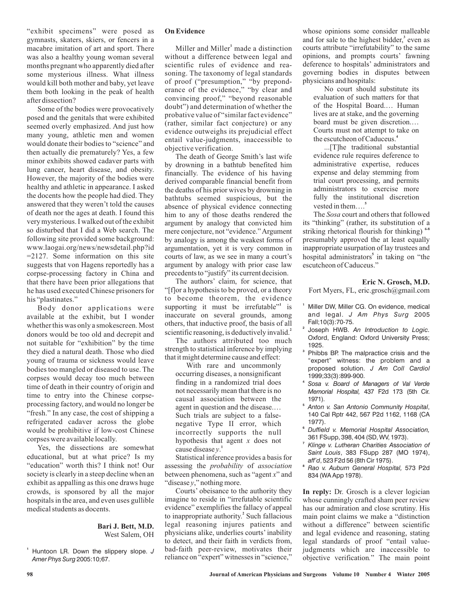"exhibit specimens" were posed as gymnasts, skaters, skiers, or fencers in a macabre imitation of art and sport. There was also a healthy young woman several months pregnant who apparently died after some mysterious illness. What illness would kill both mother and baby, yet leave them both looking in the peak of health after dissection?

Some of the bodies were provocatively posed and the genitals that were exhibited seemed overly emphasized. And just how many young, athletic men and women would donate their bodies to "science" and then actually die prematurely? Yes, a few minor exhibits showed cadaver parts with lung cancer, heart disease, and obesity. However, the majority of the bodies were healthy and athletic in appearance. I asked the docents how the people had died. They answered that they weren't told the causes of death nor the ages at death. I found this very mysterious. I walked out of the exhibit so disturbed that I did a Web search. The following site provided some background: www.laogai.org/news/newsdetail.php?id =2127. Some information on this site suggests that von Hagens reportedly has a corpse-processing factory in China and that there have been prior allegations that he has used executed Chinese prisoners for his "plastinates."

Body donor applications were available at the exhibit, but I wonder whether this was only a smokescreen. Most donors would be too old and decrepit and not suitable for "exhibition" by the time they died a natural death. Those who died young of trauma or sickness would leave bodies too mangled or diseased to use. The corpses would decay too much between time of death in their country of origin and time to entry into the Chinese corpseprocessing factory, and would no longer be "fresh." In any case, the cost of shipping a refrigerated cadaver across the globe would be prohibitive if low-cost Chinese corpses were available locally.

Yes, the dissections are somewhat educational, but at what price? Is my "education" worth this? I think not! Our society is clearly in a steep decline when an exhibit as appalling as this one draws huge crowds, is sponsored by all the major hospitals in the area, and even uses gullible medical students as docents.

### **Bari J. Bett, M.D.**

West Salem, OH

#### **On Evidence**

Miller and Miller<sup>1</sup> made a distinction without a difference between legal and scientific rules of evidence and reasoning. The taxonomy of legal standards of proof ("presumption," "by preponderance of the evidence," "by clear and convincing proof," "beyond reasonable doubt") and determination of whether the probative value of "similar fact evidence" (rather, similar fact conjecture) or any evidence outweighs its prejudicial effect entail value-judgments, inaccessible to objective verification.

The death of George Smith's last wife by drowning in a bathtub benefited him financially. The evidence of his having derived comparable financial benefit from the deaths of his prior wives by drowning in bathtubs seemed suspicious, but the absence of physical evidence connecting him to any of those deaths rendered the argument by analogy that convicted him mere conjecture, not "evidence."Argument by analogy is among the weakest forms of argumentation, yet it is very common in courts of law, as we see in many a court's argument by analogy with prior case law precedents to "justify" its current decision.

The authors' claim, for science, that "[f]or a hypothesis to be proved, or a theory to become theorem, the evidence supporting it must be irrefutable"<sup>1</sup> is inaccurate on several grounds, among others, that inductive proof, the basis of all scientific reasoning, is deductively invalid. **2**

The authors attributed too much strength to statistical inference by implying that it might determine cause and effect:

With rare and uncommonly occurring diseases, a nonsignificant finding in a randomized trial does not necessarily mean that there is no causal association between the agent in question and the disease.… Such trials are subject to a falsenegative Type II error, which incorrectly supports the null hypothesis that agent x does not cause disease y.<sup>1</sup>

Statistical inference provides a basis for assessing the *probability* of *association* between phenomena, such as "agent x" and "disease y," nothing more.

Courts' obeisance to the authority they imagine to reside in "irrefutable scientific evidence" exemplifies the fallacy of appeal to inappropriate authority.<sup>2</sup> Such fallacious legal reasoning injures patients and physicians alike, underlies courts' inability to detect, and their faith in verdicts from, bad-faith peer-review, motivates their reliance on "expert" witnesses in "science,"

whose opinions some consider malleable and for sale to the highest bidder,<sup>3</sup> even as courts attribute "irrefutability" to the same opinions, and prompts courts' fawning deference to hospitals' administrators and governing bodies in disputes between physicians and hospitals:

No court should substitute its evaluation of such matters for that of the Hospital Board.… Human lives are at stake, and the governing board must be given discretion.… Courts must not attempt to take on the escutcheon of Caduceus. **4**

...[T]he traditional substantial evidence rule requires deference to administrative expertise, reduces expense and delay stemming from trial court processing, and permits administrators to exercise more fully the institutional discretion vested in them…. **5**

The Sosa court and others that followed its "thinking" (rather, its substitution of a striking rhetorical flourish for thinking) **6-8** presumably approved the at least equally inappropriate usurpation of lay trustees and hospital administrators<sup>5</sup> in taking on "the escutcheon of Caduceus."

#### **Eric N. Grosch, M.D.**

Fort Myers, FL, eric.grosch@gmail.com

- **1** Miller DW, Miller CG. On evidence, medical and legal. *J Am Phys Surg* 2005 Fall;10(3):70-75.
- **2** Joseph HWB. *An Introduction to Logic.* Oxford, England: Oxford University Press; 1925.
- **3** Phibbs BP. The malpractice crisis and the "expert" witness: the problem and a proposed solution. *J Am Coll Cardiol* 1999;33(3):899-900.
- **4** *Sosa v. Board of Managers of Val Verde* 437 F2d 173 (5th Cir. *Memorial Hospital,* 1971).
- **5** , *Anton v. San Antonio Community Hospital* 140 Cal Rptr 442, 567 P2d 1162, 1168 (CA 1977).
- **6** *Duffield v. Memorial Hospital Association,* 361 FSupp, 398, 404 (SD, WV, 1973).
- **7** Klinge v. Lutheran Charities Association of , 383 FSupp 287 (MO 1974), *Saint Louis* , 523 F2d 56 (8th Cir 1975). *aff'd*
- **8** 573 P2d *Rao v. Auburn General Hospital,* 834 (WA App 1978).

In reply: Dr. Grosch is a clever logician whose cunningly crafted sham peer review has our admiration and close scrutiny. His main point claims we make a "distinction without a difference" between scientific and legal evidence and reasoning, stating legal standards of proof "entail valuejudgments which are inaccessible to objective verification " The main point *.*

**<sup>1</sup>** Huntoon LR. Down the slippery slope. *J* 2005:10;67. *Amer Phys Surg*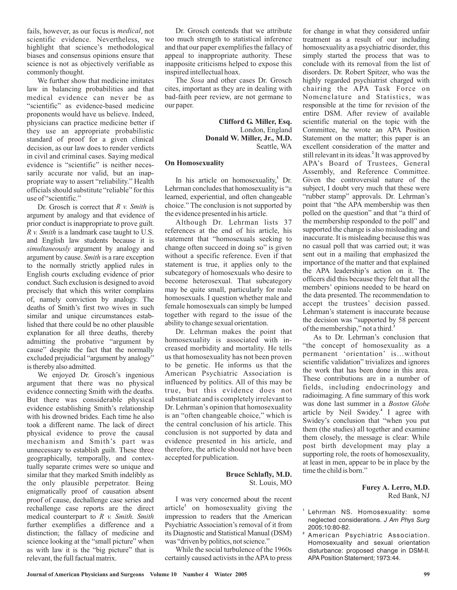fails, however, as our focus is *medical*, not scientific evidence. Nevertheless, we highlight that science's methodological biases and consensus opinions ensure that science is not as objectively verifiable as commonly thought.

We further show that medicine imitates law in balancing probabilities and that medical evidence can never be as "scientific" as evidence-based medicine proponents would have us believe. Indeed, physicians can practice medicine better if they use an appropriate probabilistic standard of proof for a given clinical decision, as our law does to render verdicts in civil and criminal cases. Saying medical evidence is "scientific" is neither necessarily accurate nor valid, but an inappropriate way to assert "reliability." Health officials should substitute "reliable" for this use of "scientific."

Dr. Grosch is correct that R v. Smith is argument by analogy and that evidence of prior conduct is inappropriate to prove guilt. *R v. Smith* is a landmark case taught to U.S. and English law students because it is simultaneously argument by analogy and argument by cause. Smith is a rare exception to the normally strictly applied rules in English courts excluding evidence of prior conduct. Such exclusion is designed to avoid precisely that which this writer complains of, namely conviction by analogy. The deaths of Smith's first two wives in such similar and unique circumstances established that there could be no other plausible explanation for all three deaths, thereby admitting the probative "argument by cause" despite the fact that the normally excluded prejudicial "argument by analogy" is thereby also admitted.

We enjoyed Dr. Grosch's ingenious argument that there was no physical evidence connecting Smith with the deaths. But there was considerable physical evidence establishing Smith's relationship with his drowned brides. Each time he also took a different name. The lack of direct physical evidence to prove the causal mechanism and Smith's part was unnecessary to establish guilt. These three geographically, temporally, and contextually separate crimes were so unique and similar that they marked Smith indelibly as the only plausible perpetrator. Being enigmatically proof of causation absent proof of cause, dechallenge case series and rechallenge case reports are the direct medical counterpart to R v. Smith. Smith further exemplifies a difference and a distinction; the fallacy of medicine and science looking at the "small picture" when as with law it is the "big picture" that is relevant, the full factual matrix.

Dr. Grosch contends that we attribute too much strength to statistical inference and that our paper exemplifies the fallacy of appeal to inappropriate authority. These inapposite criticisms helped to expose this inspired intellectual hoax.

The Sosa and other cases Dr. Grosch cites, important as they are in dealing with bad-faith peer review, are not germane to our paper.

> London, England Seattle, WA **Clifford G. Miller, Esq. Donald W. Miller, Jr., M.D.**

#### **On Homosexuality**

In his article on homosexuality,<sup>1</sup> Dr. Lehrman concludes that homosexuality is "a learned, experiential, and often changeable choice." The conclusion is not supported by the evidence presented in his article.

Although Dr. Lehrman lists 37 references at the end of his article, his statement that "homosexuals seeking to change often succeed in doing so" is given without a specific reference. Even if that statement is true, it applies only to the subcategory of homosexuals who desire to become heterosexual. That subcategory may be quite small, particularly for male homosexuals. I question whether male and female homosexuals can simply be lumped together with regard to the issue of the ability to change sexual orientation.

Dr. Lehrman makes the point that homosexuality is associated with increased morbidity and mortality. He tells us that homosexuality has not been proven to be genetic. He informs us that the American Psychiatric Association is influenced by politics. All of this may be true, but this evidence does not substantiate and is completely irrelevant to Dr. Lehrman's opinion that homosexuality is an "often changeable choice," which is the central conclusion of his article. This conclusion is not supported by data and evidence presented in his article, and therefore, the article should not have been accepted for publication.

#### St. Louis, MO **Bruce Schlafly, M.D.**

I was very concerned about the recent article<sup>1</sup> on homosexuality giving the impression to readers that the American Psychiatric Association's removal of it from its Diagnostic and Statistical Manual (DSM) was "driven by politics, not science."

While the social turbulence of the 1960s certainly caused activists in theAPAto press for change in what they considered unfair treatment as a result of our including homosexuality as a psychiatric disorder, this simply started the process that was to conclude with its removal from the list of disorders. Dr. Robert Spitzer, who was the highly regarded psychiatrist charged with chairing the APA Task Force on Nomenclature and Statistics, was responsible at the time for revision of the entire DSM. After review of available scientific material on the topic with the Committee, he wrote an APA Position Statement on the matter; this paper is an excellent consideration of the matter and still relevant in its ideas.<sup>2</sup> It was approved by APA's Board of Trustees, General Assembly, and Reference Committee. Given the controversial nature of the subject, I doubt very much that these were "rubber stamp" approvals. Dr. Lehrman's point that "the APA membership was then polled on the question" and that "a third of the membership responded to the poll" and supported the change is also misleading and inaccurate. It is misleading because this was no casual poll that was carried out; it was sent out in a mailing that emphasized the importance of the matter and that explained the APA leadership's action on it. The officers did this because they felt that all the members' opinions needed to be heard on the data presented. The recommendation to accept the trustees' decision passed. Lehrman's statement is inaccurate because the decision was "supported by 58 percent of the membership," not a third. **3**

As to Dr. Lehrman's conclusion that "the concept of homosexuality as a permanent 'orientation' is…without scientific validation" trivializes and ignores the work that has been done in this area. These contributions are in a number of fields, including endocrinology and radioimaging. A fine summary of this work was done last summer in a *Boston Globe* article by Neil Swidey.<sup>4</sup> I agree with Swidey's conclusion that "when you put them (the studies) all together and examine them closely, the message is clear: While post birth development may play a supporting role, the roots of homosexuality, at least in men, appear to be in place by the time the child is born."

#### Red Bank, NJ **Furey A. Lerro, M.D.**

- **1** Lehrman NS. Homosexuality: some neglected considerations. *J Am Phys Surg* 2005;10:80-82.
- **2** American Psychiatric Association. Homosexuality and sexual orientation disturbance: proposed change in DSM-II. APA Position Statement; 1973:44.